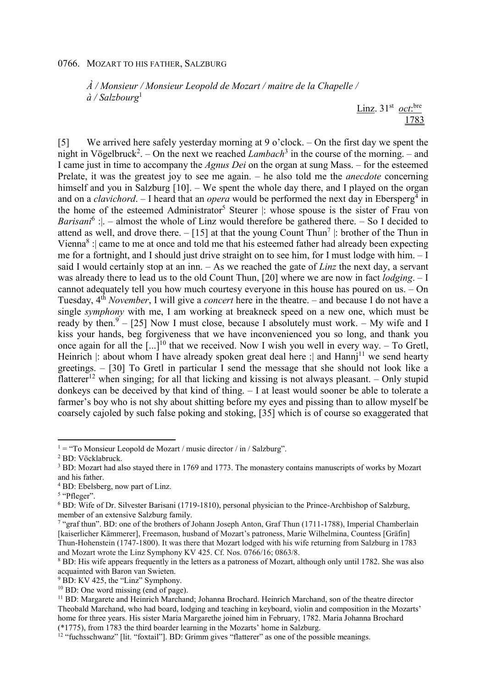## 0766. MOZART TO HIS FATHER, SALZBURG

*À / Monsieur / Monsieur Leopold de Mozart / maitre de la Chapelle / à / Salzbourg*<sup>1</sup>

> Linz.  $31<sup>st</sup>$  *oct*:<sup>bre</sup> 1783

[5] We arrived here safely yesterday morning at 9 o'clock. – On the first day we spent the night in Vögelbruck<sup>2</sup>. – On the next we reached *Lambach*<sup>3</sup> in the course of the morning. – and I came just in time to accompany the *Agnus Dei* on the organ at sung Mass. – for the esteemed Prelate, it was the greatest joy to see me again. – he also told me the *anecdote* concerning himself and you in Salzburg [10]. – We spent the whole day there, and I played on the organ and on a *clavichord*. - I heard that an *opera* would be performed the next day in Ebersperg<sup>4</sup> in the home of the esteemed Administrator<sup>5</sup> Steurer |: whose spouse is the sister of Frau von *Barisani*<sup>6</sup>: | – almost the whole of Linz would therefore be gathered there. – So I decided to attend as well, and drove there.  $-[15]$  at that the young Count Thun<sup>7</sup> : brother of the Thun in Vienna<sup>8</sup> : came to me at once and told me that his esteemed father had already been expecting me for a fortnight, and I should just drive straight on to see him, for I must lodge with him. – I said I would certainly stop at an inn. – As we reached the gate of *Linz* the next day, a servant was already there to lead us to the old Count Thun, [20] where we are now in fact *lodging*. – I cannot adequately tell you how much courtesy everyone in this house has poured on us. – On Tuesday, 4th *November*, I will give a *concert* here in the theatre. – and because I do not have a single *symphony* with me, I am working at breakneck speed on a new one, which must be ready by then.  $9 - [25]$  Now I must close, because I absolutely must work.  $-$  My wife and I kiss your hands, beg forgiveness that we have inconvenienced you so long, and thank you once again for all the  $\left[\ldots\right]^{10}$  that we received. Now I wish you well in every way. – To Gretl, Heinrich : about whom I have already spoken great deal here : and  $Hami<sup>11</sup>$  we send hearty greetings. – [30] To Gretl in particular I send the message that she should not look like a flatterer<sup>12</sup> when singing; for all that licking and kissing is not always pleasant. – Only stupid donkeys can be deceived by that kind of thing. – I at least would sooner be able to tolerate a farmer's boy who is not shy about shitting before my eyes and pissing than to allow myself be coarsely cajoled by such false poking and stoking, [35] which is of course so exaggerated that

l

 $1 =$  "To Monsieur Leopold de Mozart / music director / in / Salzburg".

<sup>2</sup> BD: Vöcklabruck.

<sup>&</sup>lt;sup>3</sup> BD: Mozart had also stayed there in 1769 and 1773. The monastery contains manuscripts of works by Mozart and his father.

<sup>4</sup> BD: Ebelsberg, now part of Linz.

<sup>&</sup>lt;sup>5</sup> "Pfleger".

<sup>&</sup>lt;sup>6</sup> BD: Wife of Dr. Silvester Barisani (1719-1810), personal physician to the Prince-Archbishop of Salzburg, member of an extensive Salzburg family.

<sup>&</sup>lt;sup>7</sup> "graf thun". BD: one of the brothers of Johann Joseph Anton, Graf Thun (1711-1788), Imperial Chamberlain [kaiserlicher Kämmerer], Freemason, husband of Mozart's patroness, Marie Wilhelmina, Countess [Gräfin] Thun-Hohenstein (1747-1800). It was there that Mozart lodged with his wife returning from Salzburg in 1783 and Mozart wrote the Linz Symphony KV 425. Cf. Nos. 0766/16; 0863/8.

<sup>&</sup>lt;sup>8</sup> BD: His wife appears frequently in the letters as a patroness of Mozart, although only until 1782. She was also acquainted with Baron van Swieten.

<sup>&</sup>lt;sup>9</sup> BD: KV 425, the "Linz" Symphony.

<sup>&</sup>lt;sup>10</sup> BD: One word missing (end of page).

<sup>&</sup>lt;sup>11</sup> BD: Margarete and Heinrich Marchand; Johanna Brochard. Heinrich Marchand, son of the theatre director Theobald Marchand, who had board, lodging and teaching in keyboard, violin and composition in the Mozarts' home for three years. His sister Maria Margarethe joined him in February, 1782. Maria Johanna Brochard (\*1775), from 1783 the third boarder learning in the Mozarts' home in Salzburg.

<sup>&</sup>lt;sup>12</sup> "fuchsschwanz" [lit. "foxtail"]. BD: Grimm gives "flatterer" as one of the possible meanings.